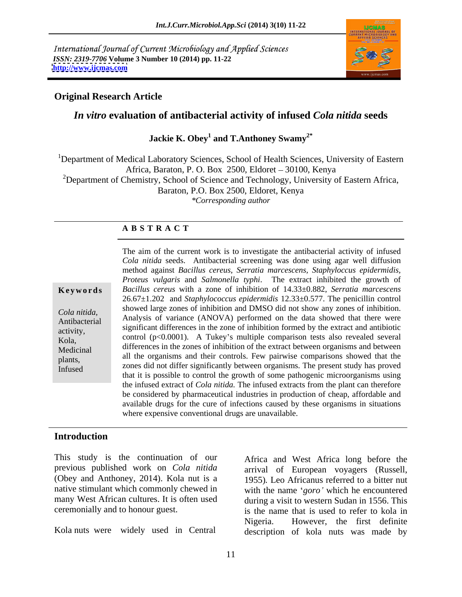International Journal of Current Microbiology and Applied Sciences *ISSN: 2319-7706* **Volume 3 Number 10 (2014) pp. 11-22 <http://www.ijcmas.com>**



### **Original Research Article**

## *In vitro* **evaluation of antibacterial activity of infused** *Cola nitida* **seeds**

### **Jackie K. Obey<sup>1</sup> and T.Anthoney Swamy2\***

<sup>1</sup>Department of Medical Laboratory Sciences, School of Health Sciences, University of Eastern Africa, Baraton, P. O. Box 2500, Eldoret - 30100, Kenya <sup>2</sup>Department of Chemistry, School of Science and Technology, University of Eastern Africa, Baraton, P.O. Box 2500, Eldoret, Kenya *\*Corresponding author* 

### **A B S T R A C T**

**Ke ywo rds** *Bacillus cereus* with a zone of inhibition of 14.33±0.882, *Serratia marcescens Cola nitida,*<br>
Analysis of variance (ANOVA) performed on the data showed that there were<br>
Analysis of variance (ANOVA) performed on the data showed that there were Antibacterial Antarysis of variance (ANOVA) performed on the data showed that there were significant differences in the zone of inhibition formed by the extract and antibiotic activity,  $Kola$ , control (p<0.0001). A Tukey's multiple comparison tests also revealed several Medicinal differences in the zones of inhibition of the extract between organisms and between plants,<br> *Infused* zones did not differ significantly between organisms. The present study has proved Infused<br>that it is possible to control the growth of some pathogenic microorganisms using<br>that it is possible to control the growth of some pathogenic microorganisms using The aim of the current work is to investigate the antibacterial activity of infused *Cola nitida* seeds. Antibacterial screening was done using agar well diffusion method against *Bacillus cereus*, *Serratia marcescens, Staphyloccus epidermidis, Proteus vulgaris* and *Salmonella typhi*. The extract inhibited the growth of 26.67±1.202 and *Staphylococcus epidermidis* 12.33±0.577. The penicillin control showed large zones of inhibition and DMSO did not show any zones of inhibition. all the organisms and their controls. Few pairwise comparisons showed that the the infused extract of *Cola nitida.* The infused extracts from the plant can therefore be considered by pharmaceutical industries in production of cheap, affordable and available drugs for the cure of infections caused by these organisms in situations where expensive conventional drugs are unavailable.

### **Introduction**

This study is the continuation of our (Obey and Anthoney, 2014). Kola nut is a many West African cultures. It is often used

Kola nuts were widely used in Central

previous published work on *Cola nitida* arrival of European voyagers (Russell, native stimulant which commonly chewed in with the name *'goro'* which he encountered ceremonially and to honour guest. is the name that is used to refer to kola in Africa and West Africa long before the 1955)*.* Leo Africanus referred to a bitter nut during a visit to western Sudan in 1556. This Nigeria. However, the first definite description of kola nuts was made by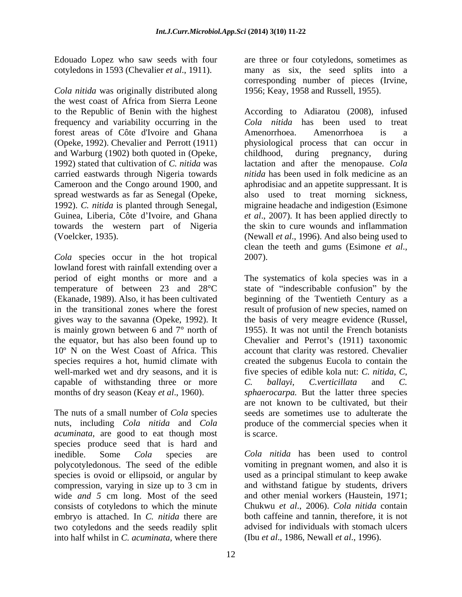cotyledons in 1593 (Chevalier *et al*., 1911).

*Cola nitida* was originally distributed along the west coast of Africa from Sierra Leone frequency and variability occurring in the forest areas of Côte d'Ivoire and Ghana and Warburg (1902) both quoted in (Opeke, carried eastwards through Nigeria towards towards the western part of Nigeria

*Cola* species occur in the hot tropical 2007). lowland forest with rainfall extending over a is mainly grown between 6 and 7° north of well-marked wet and dry seasons, and it is capable of withstanding three or more  $C$ . ballayi,  $C$ . verticillata and  $C$ .

The nuts of a small number of *Cola* species *acuminata*, are good to eat though most is scarce. species produce seed that is hard and inedible. Some *Cola* species are *Cola nitida* has been used to control polycotyledonous. The seed of the edible vomiting in pregnant women, and also it is species is ovoid or ellipsoid, or angular by compression, varying in size up to 3 cm in and withstand fatigue by students, drivers wide *and 5* cm long. Most of the seed consists of cotyledons to which the minute embryo is attached. In *C. nitida* there are two cotyledons and the seeds readily split into half whilst in C. acuminata, where there into half whilst in *C. acuminata,* where there (Ibu *et al*., 1986, Newall *et al*., 1996).

Edouado Lopez who saw seeds with four are three or four cotyledons, sometimes as many as six, the seed splits into a corresponding number of pieces (Irvine, 1956; Keay, 1958 and Russell, 1955).

to the Republic of Benin with the highest According to Adiaratou (2008), infused (Opeke, 1992). Chevalier and Perrott (1911) physiological process that can occur in 1992) stated that cultivation of *C. nitida* was lactation and after the menopause. *Cola*  Cameroon and the Congo around 1900, and aphrodisiac and an appetite suppressant. It is spread westwards as far as Senegal (Opeke, also used to treat morning sickness, 1992). *C. nitida* is planted through Senegal, migraine headache and indigestion (Esimone Guinea, Liberia, Côte d'Ivoire, and Ghana et al., 2007). It has been applied directly to (Voelcker, 1935). (Newall *et al*., 1996). And also being used to *Cola nitida* has been used to treat Amenorrhoea. Amenorrhoea is a childhood, during pregnancy, during *nitida* has been used in folk medicine as an the skin to cure wounds and inflammation clean the teeth and gums (Esimone *et al*., 2007).

period of eight months or more and a The systematics of kola species was in a temperature of between 23 and  $28^{\circ}$ C state of "indescribable confusion" by the (Ekanade, 1989). Also, it has been cultivated beginning of the Twentieth Century as a in the transitional zones where the forest result of profusion of new species, named on gives way to the savanna (Opeke, 1992). It the basis of very meagre evidence (Russel, the equator, but has also been found up to Chevalier and Perrot's (1911) taxonomic 10º N on the West Coast of Africa. This account that clarity was restored. Chevalier species requires a hot, humid climate with created the subgenus Eucola to contain the months of dry season (Keay *et al.*, 1960). *sphaerocarpa*. But the latter three species nuts, including *Cola nitida* and *Cola* produce of the commercial species when it 1955). It was not until the French botanists five species of edible kola nut: *C. nitida*, *C*, *C. ballayi, C.verticillata* and *C.*  are not known to be cultivated, but their seeds are sometimes use to adulterate the is scarce.

> used as a principal stimulant to keep awake and other menial workers (Haustein, 1971; Chukwu *et al*., 2006). *Cola nitida* contain both caffeine and tannin, therefore, it is not advised for individuals with stomach ulcers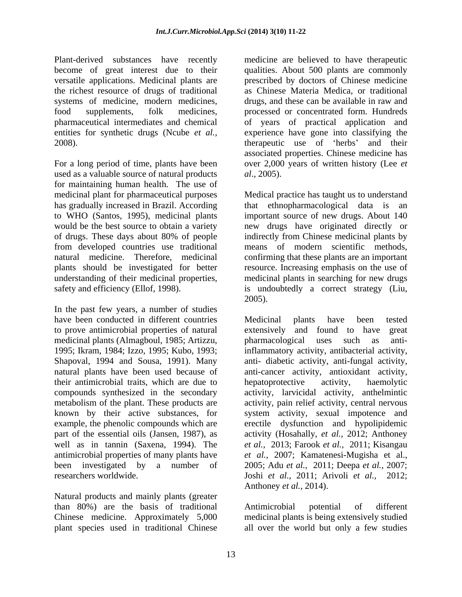Plant-derived substances have recently medicine are believed to have therapeutic systems of medicine, modern medicines, drugs and these can be available in raw and

For a long period of time, plants have been over 2,000 years of written history (Lee *et*  used as a valuable source of natural products al., 2005). for maintaining human health. The use of has gradually increased in Brazil. According that ethnopharmacological data is an

In the past few years, a number of studies have been conducted in different countries Medicinal plants have been tested to prove antimicrobial properties of natural medicinal plants (Almagboul, 1985; Artizzu, their antimicrobial traits, which are due to known by their active substances, for

Natural products and mainly plants (greater than 80%) are the basis of traditional Chinese medicine. Approximately 5,000 medicinal plants is being extensively studied plant species used in traditional Chinese all over the world but only a few studies

become of great interest due to their qualities. About 500 plants are commonly versatile applications. Medicinal plants are prescribed by doctors of Chinese medicine the richest resource of drugs of traditional as Chinese Materia Medica, or traditional food supplements, folk medicines, processed or concentrated form. Hundreds pharmaceutical intermediates and chemical of years of practical application and entities for synthetic drugs (Ncube *et al.,* experience have gone into classifying the 2008). The example the example the example the example of the example of the example of the example of the example of the example of the example of the example of the example of the example of the example of the example of drugs, and these can be available in raw and associated properties. Chinese medicine has *al*., 2005).

medicinal plant for pharmaceutical purposes Medical practice has taught us to understand to WHO (Santos, 1995), medicinal plants important source of new drugs. About 140 would be the best source to obtain a variety new drugs have originated directly or of drugs. These days about 80% of people indirectly from Chinese medicinal plants by from developed countries use traditional means of modern scientific methods, natural medicine. Therefore, medicinal confirming that these plants are an important plants should be investigated for better resource. Increasing emphasis on the use of understanding of their medicinal properties, medicinal plants in searching for new drugs safety and efficiency (Ellof, 1998). is undoubtedly a correct strategy (Liu, that ethnopharmacological data is 2005).

1995; Ikram, 1984; Izzo, 1995; Kubo, 1993; inflammatory activity, antibacterial activity, Shapoval, 1994 and Sousa, 1991). Many anti- diabetic activity, anti-fungal activity, natural plants have been used because of anti-cancer activity, antioxidant activity, compounds synthesized in the secondary activity, larvicidal activity, anthelmintic metabolism of the plant. These products are activity, pain relief activity, central nervous example, the phenolic compounds which are erectile dysfunction and hypolipidemic part of the essential oils (Jansen, 1987), as activity (Hosahally, *et al.,* 2012; Anthoney well as in tannin (Saxena, 1994). The *et al.,* 2013; Farook *et al.,* 2011; Kisangau antimicrobial properties of many plants have *et al.,* 2007; Kamatenesi-Mugisha et al., been investigated by a number of 2005; Adu *et al.,*2011; Deepa *et al.,* 2007; researchers worldwide. Joshi *et al.,* 2011; Arivoli *et al.,* 2012; Medicinal plants have been tested extensively and found to have pharmacological uses such as antihepatoprotective activity, haemolytic system activity, sexual impotence and Anthoney *et al.,* 2014).

Antimicrobial potential of different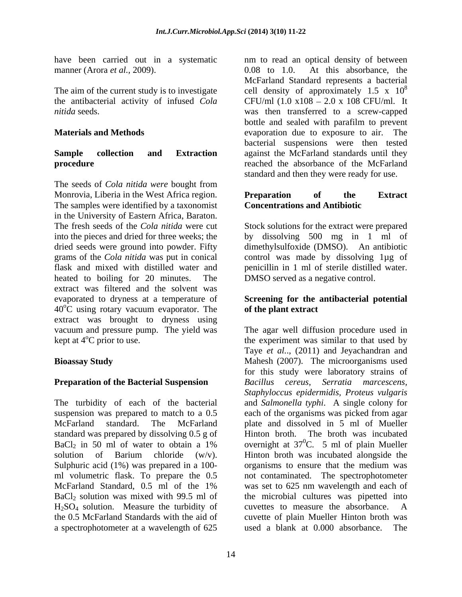have been carried out in a systematic nm to read an optical density of between manner (Arora *et al.*, 2009). 0.08 to 1.0.

The seeds of *Cola nitida were* bought from Monrovia, Liberia in the West Africa region. **Preparation** of the Extract The samples were identified by a taxonomist in the University of Eastern Africa, Baraton. The fresh seeds of the *Cola nitida* were cut Stock solutions for the extract were prepared into the pieces and dried for three weeks; the by dissolving 500 mg in 1 ml of dried seeds were ground into powder. Fifty dimethylsulfoxide (DMSO). An antibiotic grams of the *Cola nitida* was put in conical control was made by dissolving 1µg of flask and mixed with distilled water and penicillin in 1 ml of sterile distilled water. heated to boiling for 20 minutes. The extract was filtered and the solvent was evaporated to dryness at a temperature of **Screening for the antibacterial potential**  $40^{\circ}$ C using rotary vacuum evaporator. The extract was brought to dryness using vacuum and pressure pump. The yield was kept at  $4^{\circ}$ C prior to use. the experiment was similar to that used by

standard was prepared by dissolving 0.5 g of Hinton broth. The broth was incubated Sulphuric acid (1%) was prepared in a 100- organisms to ensure that the medium was H<sub>2</sub>SO<sub>4</sub> solution. Measure the turbidity of cuvettes to measure the absorbance. A the 0.5 McFarland Standards with the aid of a spectrophotometer at a wavelength of 625 used a blank at 0.000 absorbance. The

The aim of the current study is to investigate cell density of approximately 1.5 x  $10^8$ the antibacterial activity of infused *Cola*  CFU/ml (1.0 x108 2.0 x 108 CFU/ml. It *nitida* seeds. was then transferred to a screw-capped **Materials and Methods**  evaporation due to exposure to air. The **Sample collection and Extraction**  against the McFarland standards until they **procedure reached** the absorbance of the McFarland At this absorbance, the McFarland Standard represents a bacterial 8 bottle and sealed with parafilm to prevent bacterial suspensions were then tested standard and then they were ready for use.

### **Preparation of the Extract Concentrations and Antibiotic**

DMSO served as a negative control.

# **of the plant extract**

**Bioassay Study** Mahesh (2007). The microorganisms used **Preparation of the Bacterial Suspension** Bacillus cereus, Serratia marcescens, The turbidity of each of the bacterial and *Salmonella typhi*. A single colony for suspension was prepared to match to a 0.5 each of the organisms was picked from agar McFarland standard. The McFarland plate and dissolved in 5 ml of Mueller BaCl<sub>2</sub> in 50 ml of water to obtain a 1% overnight at  $37^{\circ}$ C. 5 ml of plain Mueller solution of Barium chloride (w/v). Hinton broth was incubated alongside the ml volumetric flask. To prepare the 0.5 not contaminated. The spectrophotometer McFarland Standard, 0.5 ml of the 1% was set to 625 nm wavelength and each of BaCl<sub>2</sub> solution was mixed with 99.5 ml of the microbial cultures was pipetted into The agar well diffusion procedure used in Taye *et al.*., (2011) and Jeyachandran and for this study were laboratory strains of *Bacillus cereus*, *Serratia marcescens, Staphyloccus epidermidis, Proteus vulgaris* Hinton broth. The broth was incubated overnight at  $37^0$ C. 5 ml of plain Mueller  ${}^{0}C$ . 5 ml of plain Mueller organisms to ensure that the medium was was set to 625 nm wavelength and each of cuvettes to measure the absorbance. A cuvette of plain Mueller Hinton broth was used a blank at  $0.000$  absorbance.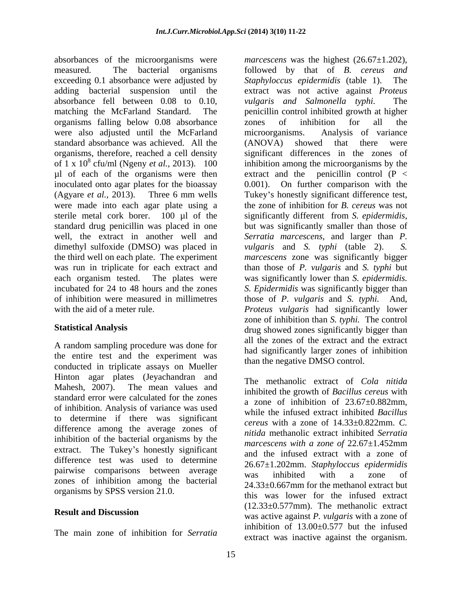absorbances of the microorganisms were *marcescens* was the highest  $(26.67 \pm 1.202)$ , measured. The bacterial organisms followed by that of B. cereus and exceeding 0.1 absorbance were adjusted by *Staphyloccus epidermidis* (table 1). The absorbance fell between 0.08 to 0.10, organisms falling below 0.08 absorbance were also adjusted until the McFarland microorganisms. Analysis of variance standard absorbance was achieved. All the were made into each agar plate using a sterile metal cork borer. 100 µl of the significantly different from S. epidermidis, standard drug penicillin was placed in one but was significantly smaller than those of dimethyl sulfoxide (DMSO) was placed in *vulgaris* and *S. typhi* (table 2). S. each organism tested. The plates were was significantly lower than *S. epidermidis.* incubated for 24 to 48 hours and the zones S. Epidermidis was significantly bigger than

A random sampling procedure was done for the entire test and the experiment was conducted in triplicate assays on Mueller Hinton agar plates (Jeyachandran and standard error were calculated for the zones of inhibition. Analysis of variance was used to determine if therewas significant difference among the average zones of inhibition of the bacterial organisms by the extract. The Tukey's honestly significant difference test was used to determine pairwise comparisons between average was inhibited with a zone of zones of inhibition among the bacterial organisms by SPSS version 21.0.

The main zone of inhibition for *Serratia* 

adding bacterial suspension until the extract was not active against *Proteus*  matching the McFarland Standard. The penicillin control inhibited growth at higher organisms, therefore, reached a cell density significant differences in the zones of of  $1 \times 10^8$  cfu/ml (Ngeny *et al.*, 2013).  $100$  inhibition among the microorganisms by the  $\mu$ l of each of the organisms were then extract and the penicillin control (P < inoculated onto agar plates for the bioassay 0.001). On further comparison with the (Agyare *et al.*, 2013). Three 6 mm wells Tukey's honestly significant difference test, well, the extract in another well and *Serratia marcescens*, and larger than *P.*  the third well on each plate. The experiment *marcescens* zone was significantly bigger was run in triplicate for each extract and than those of *P. vulgaris*and *S. typhi* but of inhibition were measured in millimetres those of *P. vulgaris* and *S. typhi.* And, with the aid of a meter rule. *Proteus vulgaris* had significantly lower Statistical Analysis **Statistical Analysis** drug showed zones significantly bigger than *marcescens* was the highest (26.67±1.202),<br>followed by that of *B. cereus and Staphyloccus epidermidis* (table 1). *vulgaris and Salmonella typhi.* zones of inhibition for all the microorganisms. Analysis of variance (ANOVA) showed that there were the zone of inhibition for *B. cereus* was not significantly different from *S. epidermidis*, but was significantly smaller than those of *vulgaris* and *S. typhi* (table 2). was significantly lower than *S. epidermidis*.<br>*S. Epidermidis* was significantly bigger than zone of inhibition than *S. typhi.* The control all the zones of the extract and the extract had significantly larger zones of inhibition than the negative DMSO control.

Mahesh, 2007). The mean values and the meaning existence of the mean with **Result and Discussion**<br>
was active against *P. vulgaris* with a zone of The methanolic extract of *Cola nitida* inhibited the growth of *Bacillus cereus* with a zone of inhibition of  $23.67\pm0.882$  mm. while the infused extract inhibited *Bacillus cereus* with a zone of 14.33±0.822mm. *C. nitida* methanolic extract inhibited *Serratia marcescens with a zone of* 22.67±1.452mm and the infused extract with a zone of 26.67±1.202mm. *Staphyloccus epidermidis* was inhibited with a zone of 24.33±0.667mm for the methanol extract but this was lower for the infused extract (12.33±0.577mm). The methanolic extract inhibition of  $13.00 \pm 0.577$  but the infused extract was inactive against the organism.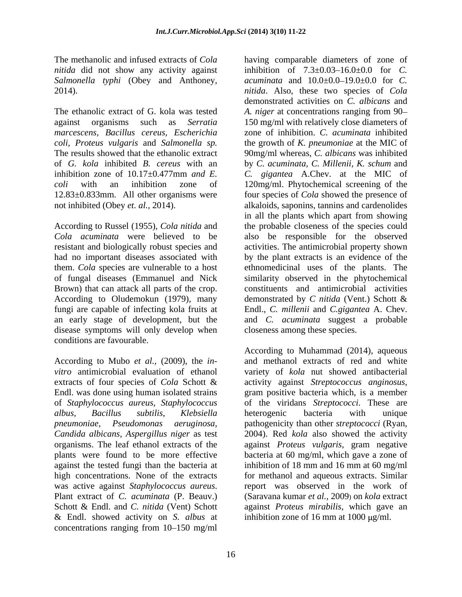The methanolic and infused extracts of *Cola*  having comparable diameters of zone of *Salmonella typhi* (Obey and Anthoney,

*marcescens, Bacillus cereus, Escherichia*

Brown) that can attack all parts of the crop. According to Oludemokun (1979), many fungi are capable of infecting kola fruits at disease symptoms will only develop when conditions are favourable.

extracts of four species of *Cola* Schott & activity against *Streptococcus anginosus*, Endl. was done using human isolated strains gram positive bacteria which, is a member *Candida albicans, Aspergillus niger* as test against the tested fungi than the bacteria at inhibition of 18 mm and 16 mm at 60 mg/ml high concentrations. None of the extracts & Endl. showed activity on *S. albus* at concentrations ranging from  $10-150$  mg/ml

*nitida* did not show any activity against inhibition of  $7.3 \pm 0.03 - 16.0 \pm 0.0$  for *C*. 2014). *nitida*. Also, these two species of *Cola* The ethanolic extract of G. kola was tested *A. niger* at concentrations ranging from 90 against organisms such as *Serratia*  150 mg/ml with relatively close diameters of *coli, Proteus vulgaris* and *Salmonella sp.* the growth of *K. pneumoniae* at the MIC of The results showed that the ethanolic extract 90mg/ml whereas, *C. albicans* was inhibited of *G. kola* inhibited *B. cereus* with an by *C. acuminata, C. Millenii, K. schum* and inhibition zone of 10.17±0.477mm *and E. C. gigantea* A.Chev. at the MIC of *coli* with an inhibition zone of 120mg/ml. Phytochemical screening of the 12.83±0.833mm. All other organisms were four species of *Cola* showed the presence of not inhibited (Obey *et. al.,* 2014). alkaloids, saponins, tannins and cardenolides According to Russel (1955), *Cola nitida* and the probable closeness of the species could *Cola acuminata* were believed to be also be responsible for the observed resistant and biologically robust species and activities. The antimicrobial property shown had no important diseases associated with by the plant extracts is an evidence of the them. *Cola* species are vulnerable to a host ethnomedicinal uses of the plants. The of fungal diseases (Emmanuel and Nick similarity observed in the phytochemical an early stage of development, but the and *C. acuminata* suggest a probable *acuminata* and  $10.0 \pm 0.0 - 19.0 \pm 0.0$  for *C*. demonstrated activities on *C. albicans* and zone of inhibition. *C. acuminata* inhibited in all the plants which apart from showing constituents and antimicrobial activities demonstrated by *C nitida* (Vent.) Schott & Endl., *C. millenii* and *C.gigantea* A. Chev. closeness among these species.

According to Mubo *et al.,* (2009), the *in-* and methanol extracts of red and white *vitro* antimicrobial evaluation of ethanol variety of *kola* nut showed antibacterial of *Staphylococcus aureus, Staphylococcus* of the viridans *Streptococci*. These are *albus, Bacillus subtilis, Klebsiella pneumoniae, Pseudomonas aeruginosa,* pathogenicity than other *streptococci* (Ryan, organisms. The leaf ethanol extracts of the against *Proteus vulgaris*, gram negative plants were found to be more effective bacteria at 60 mg/ml, which gave a zone of was active against *Staphylococcus aureus*. Plant extract of *C. acuminata* (P. Beauv.) (Saravana kumar *et al.*, 2009) on *kola* extract Schott & Endl. and *C. nitida* (Vent) Schott against *Proteus mirabilis*, which gave an According to Muhammad (2014), aqueous activity against *Streptococcus anginosus*, gram positive bacteria which, is <sup>a</sup> member heterogenic bacteria with unique 2004). Red *kola* also showed the activity inhibition of 18 mm and 16 mm at 60 mg/ml for methanol and aqueous extracts. Similar report was observed in the work of (Saravana kumar *et al.,* 2009) on *kola* extract inhibition zone of 16 mm at 1000  $\mu$ g/ml.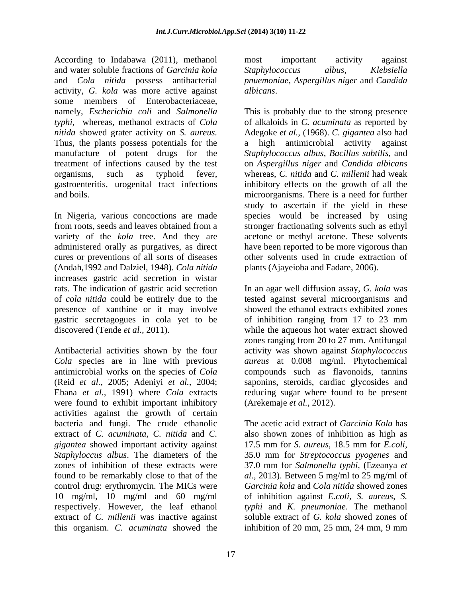According to Indabawa (2011), methanol most important activity against and water soluble fractions of *Garcinia kola* and *Cola nitida* possess antibacterial *pnuemoniae, Aspergillus niger* and *Candida* activity, *G. kola* was more active against some members of Enterobacteriaceae, namely, *Escherichia coli* and *Salmonella typhi,* whereas, methanol extracts of *Cola*  of alkaloids in *C. acuminata* as reported by *nitida* showed grater activity on *S. aureus.* Adegoke *et al.,* (1968). *C. gigantea* also had Thus, the plants possess potentials for the a manufacture of potent drugs for the *Staphylococcus albus, Bacillus subtilis,*and treatment of infections caused by the test on *Aspergillus niger* and *Candida albicans* organisms, such as typhoid fever, whereas, *C. nitida* and *C. millenii* had weak gastroenteritis, urogenital tract infections inhibitory effects on the growth of all the and boils. microorganisms. There is a need for further

In Nigeria, various concoctions are made species would be increased by using from roots, seeds and leaves obtained from a stronger fractionating solvents such as ethyl variety of the *kola* tree. And they are acetone or methyl acetone. These solvents administered orally as purgatives, as direct cures or preventions of all sorts of diseases (Andah,1992 and Dalziel, 1948). *Cola nitida*  increases gastric acid secretion in wistar rats. The indication of gastric acid secretion of *cola nitida* could be entirely due to the tested against several microorganisms and presence of xanthine or it may involve showed the ethanol extracts exhibited zones gastric secretagogues in cola yet to be of inhibition ranging from 17 to 23 mm discovered (Tende *et al.,* 2011). while the aqueous hot water extract showed

Antibacterial activities shown by the four *Cola* species are in line with previous *aureus* at 0.008 mg/ml. Phytochemical antimicrobial works on the species of *Cola*<br>(Reid *et al.*, 2005; Adeniyi *et al.*, 2004; (Reid *et al.,* 2005; Adeniyi *et al.,* 2004; saponins, steroids, cardiac glycosides and Ebana *et al.,* 1991) where *Cola* extracts reducing sugar where found to be present were found to exhibit important inhibitory activities against the growth of certain bacteria and fungi. The crude ethanolic The acetic acid extract of *Garcinia Kola* has extract of *C. acuminata, C. nitida* and *C.* also shown zones of inhibition as high as *gigantea* showed important activity against 17.5 mm for *S. aureus*, 18.5 mm for *E.coli*, *Staphyloccus albus*. The diameters of the zones of inhibition of these extracts were 37.0 mm for *Salmonella typhi,* (Ezeanya *et*  found to be remarkably close to that of the *al.,* 2013). Between 5 mg/ml to 25 mg/ml of control drug: erythromycin. The MICs were 10 mg/ml, 10 mg/ml and 60 mg/ml respectively. However, the leaf ethanol *typhi* and *K. pneumoniae*. The methanol extract of *C. millenii* was inactive against this organism. *C. acuminata* showed the

most important activity against *Staphylococcus albus, Klebsiella*

*albicans*. This is probably due to the strong presence high antimicrobial activity against study to ascertain if the yield in these have been reported to be more vigorous than other solvents used in crude extraction of plants (Ajayeioba and Fadare, 2006).

In an agar well diffusion assay, *G. kola* was zones ranging from 20 to 27 mm. Antifungal activity was shown against *Staphylococcus*  compounds such as flavonoids, tannins (Arekemaje *et al.,* 2012).

17.5 mm for *S. aureus*, 18.5 mm for *E.coli*, 35.0 mm for *Streptococcus pyogenes* and *Garcinia kola* and *Cola nitida* showed zones of inhibition against *E.coli, S. aureus, S.* soluble extract of *G. kola* showed zones of inhibition of 20 mm, 25 mm, 24 mm, 9 mm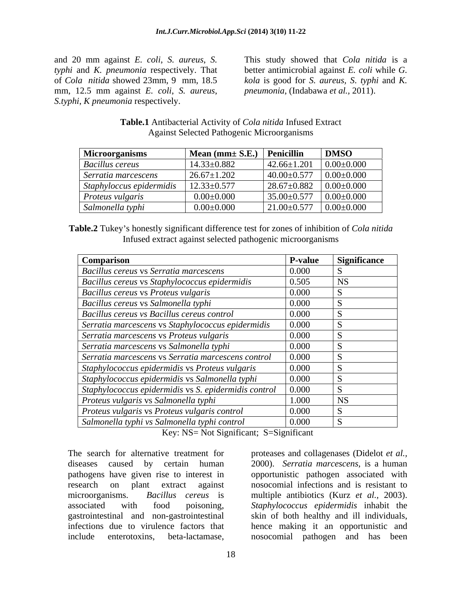mm, 12.5 mm against *E. coli*, *S. aureus*, *S.typhi*, *K pneumonia* respectively.

and 20 mm against *E. coli*, *S. aureus*, *S.*  This study showed that *Cola nitida* is a *typhi* and *K. pneumonia* respectively. That better antimicrobial against *E. coli* while *G.*  of *Cola nitida* showed 23mm, 9 mm, 18.5 *kola* is good for *S. aureus, S*. *typhi* and *K. pneumonia*, (Indabawa *et al.,* 2011).

**Table.1** Antibacterial Activity of *Cola nitida* Infused Extract Against Selected Pathogenic Microorganisms

| <b>Microorganisms</b>                                                              | $\vert$ Mean (mm $\pm$ S.E.) $\vert$ Penicillin |                                        | <b>DMSO</b>      |
|------------------------------------------------------------------------------------|-------------------------------------------------|----------------------------------------|------------------|
| <b>Bacillus cereus</b>                                                             | $14.33 \pm 0.882$                               | $\vert$ 42.66±1.201 $\vert$ 0.00±0.000 |                  |
| Serratia marcescens                                                                | $26.67 \pm 1.202$                               | $40.00 \pm 0.577$                      | $0.00 \pm 0.000$ |
| $Staphyloccus$ epidermidis $\left  \frac{12.33 \pm 0.577}{2.33 \pm 0.577} \right $ |                                                 | $28.67 \pm 0.882$ 0.00 $\pm$ 0.000     |                  |
| <i>Proteus vulgaris</i>                                                            | $0.00\pm0.000$                                  | $35.00 \pm 0.577$ 0.00 $\pm 0.000$     |                  |
| Salmonella typhi                                                                   | $0.00\pm0.000$                                  | $21.00 \pm 0.577$                      | $0.00 \pm 0.000$ |

**Table.2** Tukey s honestly significant difference test for zones of inhibition of *Cola nitida* Infused extract against selected pathogenic microorganisms

| <b>Comparison</b>                                    | <b>P-value</b> | <b>Significance</b> |
|------------------------------------------------------|----------------|---------------------|
| Bacillus cereus vs Serratia marcescens               | 0.000          |                     |
| Bacillus cereus vs Staphylococcus epidermidis        | 0.505          |                     |
| Bacillus cereus vs Proteus vulgaris                  | 0.000          |                     |
| Bacillus cereus vs Salmonella typhi                  | 0.000          |                     |
| Bacillus cereus vs Bacillus cereus control           | 0.000          |                     |
| Serratia marcescens vs Staphylococcus epidermidis    | 0.000          |                     |
| Serratia marcescens vs Proteus vulgaris              | 0.000          |                     |
| Serratia marcescens vs Salmonella typhi              | 0.000          |                     |
| Serratia marcescens vs Serratia marcescens control   | 0.000          |                     |
| Staphylococcus epidermidis vs Proteus vulgaris       | 0.000          |                     |
| Staphylococcus epidermidis vs Salmonella typhi       | 0.000          |                     |
| Staphylococcus epidermidis vs S. epidermidis control | 0.000          |                     |
| Proteus vulgaris vs Salmonella typhi                 | 1.000          |                     |
| Proteus vulgaris vs Proteus vulgaris control         | 0.000          |                     |
| Salmonella typhi vs Salmonella typhi control         | 0.000          |                     |

Key: NS= Not Significant; S=Significant

pathogens have given rise to interest in

The search for alternative treatment for proteases and collagenases (Didelot *et al.,* diseases caused by certain human 2000). *Serratia marcescens,* is a human research on plant extract against nosocomial infections and is resistant to microorganisms. *Bacillus cereus* is multiple antibiotics (Kurz *et al.,* 2003). associated with food poisoning, Staphylococcus epidermidis inhabit the gastrointestinal and non-gastrointestinal skin of both healthy and ill individuals, infections due to virulence factors that hence making it an opportunistic and include enterotoxins, beta-lactamase, nosocomial pathogen and has beenopportunistic pathogen associated with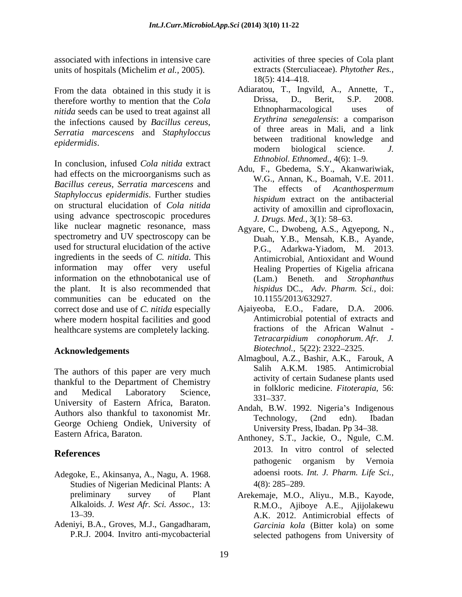associated with infections in intensive care units of hospitals (Michelim *et al.*, 2005). extracts (Stercul<br>18(5): 414–418.

From the data obtained in this study it is Adiaratou, T., Ingvild, A., Annette, T., therefore worthy to mention that the Cola  $C$  Drissa, D., Berit, S.P. 2008. therefore worthy to mention that the *Cola* Drissa, D., Berit, S.P. 2008.<br> *nitida seeds* can be used to treat against all Ethnopharmacological uses of *nitida* seeds can be used to treat against all the infections caused by *Bacillus cereus*, *Serratia marcescens* and *Staphyloccus* 

In conclusion, infused *Cola nitida* extract had effects on the microorganisms such as *Bacillus cereus, Serratia marcescens* and  $\begin{array}{c} W.S., \text{ Human, N., Bound, V.E. 2011.} \\ \text{The effects of } Acanthospermum \end{array}$ *Staphyloccus epidermidis*. Further studies on structural elucidation of *Cola nitida* using advance spectroscopic procedures like nuclear magnetic resonance, mass spectrometry and UV spectroscopy can be used for structural elucidation of the active ingredients in the seeds of *C. nitida.* This information may offer very useful information on the ethnobotanical use of (Lam.) Beneth. and Strophanthus the plant. It is also recommended that communities can be educated on the  $10.1155/2013/632927$ . correct dose and use of *C. nitida* especially where modern hospital facilities and good healthcare systems are completely lacking.

### **Acknowledgements**

The authors of this paper are very much thankful to the Department of Chemistry and Medical Laboratory Science,  $\frac{1}{2}$  and  $\frac{1}{2}$  medicine. Fuoterapia, 50. University of Eastern Africa, Baraton. Authors also thankful to taxonomist Mr.<br>
Technology, (2nd edn). Ibadan George Ochieng Ondiek, University of

- Adegoke, E., Akinsanya, A., Nagu, A. 1968. Studies of Nigerian Medicinal Plants: A
- Adeniyi, B.A., Groves, M.J., Gangadharam,

activities of three species of Cola plant extracts (Sterculiaceae). *Phytother Res.,* 18(5): 414 418.

- *epidermidis*. Adiaratou, T., Ingvild, A., Annette, T., Drissa, D., Berit, S.P. 2008. Ethnopharmacological uses of *Erythrina senegalensis*: a comparison of three areas in Mali, and a link modern biological science. *J. Ethnobiol. Ethnomed.,* 4(6): 1–9.
	- Adu, F., Gbedema, S.Y., Akanwariwiak, W.G., Annan, K., Boamah, V.E. 2011. The effects of *Acanthospermum hispidum* extract on the antibacterial activity of amoxillin and ciprofloxacin, *J. Drugs. Med.*, 3(1): 58–63.
	- Agyare, C., Dwobeng, A.S., Agyepong, N., Duah, Y.B., Mensah, K.B., Ayande, P.G., Adarkwa-Yiadom, M. 2013. Antimicrobial, Antioxidant and Wound Healing Properties of Kigelia africana (Lam.) Beneth. and *Strophanthus hispidus* DC., *Adv. Pharm. Sci.,* doi:
	- Ajaiyeoba, E.O., Fadare, D.A. 2006. Antimicrobial potential of extracts and fractions of the African Walnut- *Tetracarpidium conophorum*. *Afr. J. Biotechnol.,* 5(22): 2322-2325.
	- Almagboul, A.Z., Bashir, A.K., Farouk, A Salih A.K.M. 1985. Antimicrobial activity of certain Sudanese plants used in folkloric medicine. *Fitoterapia,* 56: 331 337.
	- Andah, B.W. 1992. Nigeria's Indigenous Technology, (2nd edn). Ibadan University Press, Ibadan. Pp 34-38.
- Eastern Africa, Baraton. **Anthoney, S.T., Jackie, O., Ngule, C.M.** Anthoney, S.T., Jackie, O., Ngule, C.M. **References** 2015. In vitro control of selected 2013. In vitro control of selected pathogenic organism by Vernoia adoensi roots. *Int. J. Pharm. Life Sci.,*  $4(8)$ : 285–289.
	- preliminary survey of Plant Arekemaje, M.O., Aliyu., M.B., Kayode, Alkaloids. *J. West Afr. Sci. Assoc.,* 13: R.M.O., Ajiboye A.E., Ajijolakewu 13–39. A.K. 2012. Antimicrobial effects of P.R.J. 2004. Invitro anti-mycobacterial *Garcinia kola* (Bitter kola) on some selected pathogens from University of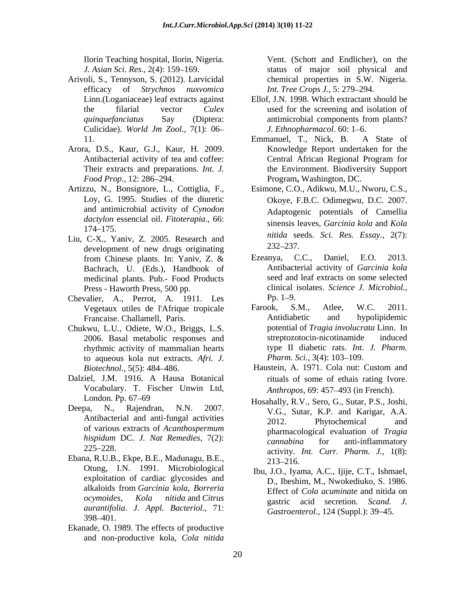- Arivoli, S., Tennyson, S. (2012). Larvicidal efficacy of *Strychnos nuxvomica* Culicidae). *World Jm Zool.*, 7(1): 06
- Arora, D.S., Kaur, G.J., Kaur, H. 2009.
- and antimicrobial activity of *Cynodon dactylon* essencial oil. *Fitoterapia*., 66:
- Liu, C-X., Yaniv, Z. 2005. Research and the number of the development of new drugs originating 232–237. development of new drugs originating<br>from Chinese plants. In: Yaniv, Z. & Ezeanya, C.C., Bachrach, U. (Eds.), Handbook of medicinal plants. Pub.- Food Products
- Chevalier, A., Perrot, A. 1911. Les Pp. 1–9.<br>Vegetaux utiles de l'Afrique tropicale Farook, S.M., Atlee, W.C. 2011. Vegetaux utiles de l'Afrique tropicale Farook, S.M., Atlee,
- Chukwu, L.U., Odiete, W.O., Briggs, L.S. potential of *Tragia involucra*<br>2006. Basal metabolic responses and streptozotocin-nicotinamide rhythmic activity of mammalian hearts type II diabetic rats. *Int*.<br>to aqueous kola nut extracts. *Afri*. *J. Pharm. Sci.*, 3(4): 103–109. to aqueous kola nut extracts. *Afri. J. Biotechnol.,* 5(5): <sup>484</sup> 486.
- Dalziel, J.M. 1916. A Hausa Botanical Vocabulary. T. Fischer Unwin Ltd,
- of various extracts of *Acanthospermum*
- Ebana, R.U.B., Ekpe, B.E., Madunagu, B.E., 213–216.<br>Otung, I.N. 1991. Microbiological Thur I.O. Iya exploitation of cardiac glycosides and  $398 - 401.$
- Ekanade, O. 1989. The effects of productive and non-productive kola, *Cola nitida*

Ilorin Teaching hospital, Ilorin, Nigeria. Vent. (Schott and Endlicher), on the *J. Asian Sci. Res.*, 2(4): 159–169. Status of major soil physical and chemical properties in S.W. Nigeria. *Int. Tree Crops J., 5: 279–294.* 

- Linn.(Loganiaceae) leaf extracts against Ellof, J.N. 1998. Which extractant should be the filarial vector *Culex*  used for the screening and isolation of *quinquefanciatus* Say (Diptera: antimicrobial components from plants? antimicrobial components from plants? *J. Ethnopharmacol.* 60: 1–6.
- 11. Emmanuel, T., Nick, B. A State of Antibacterial activity of tea and coffee: Central African Regional Program for Their extracts and preparations. *Int. J.* the Environment. Biodiversity Support *Food Prop.,* 12: 286–294. **Program, Washington, DC.** Emmanuel, T., Nick, B. A State of Knowledge Report undertaken for the Central African Regional Program for Program**,** Washington, DC.
- Artizzu, N., Bonsignore, L., Cottiglia, F., Esimone, C.O., Adikwu, M.U., Nworu, C.S., Loy, G. 1995. Studies of the diuretic Okove, F.B.C. Odimegwu, D.C. 2007.  $174-175.$  Sinemas Raves, outcome none and Roma Esimone, C.O., Adikwu, M.U., Nworu, C.S., Okoye, F.B.C. Odimegwu, D.C. 2007. Adaptogenic potentials of Camellia sinensis leaves, *Garcinia kola* and *Kola nitida* seeds. *Sci. Res. Essay.,* 2(7): 232 237.
	- from Chinese plants. In: Yaniv, Z. & Ezeanya, C.C., Daniel, E.O. 2013. Press - Haworth Press, 500 pp. clinical isolates. *Science J. Microbiol.,* Ezeanya, C.C., Daniel, E.O. 2013. Antibacterial activity of *Garcinia kola* seed and leaf extracts on some selected  $Pp. 1 - 9.$
	- Francaise. Challamell, Paris. **Example 2** Antidiabetic and hypolipidemic 2006. Basal metabolic responses and Farook, S.M., Atlee, W.C. 2011. Antidiabetic and hypolipidemic potential of *Tragia involucrata* Linn. In streptozotocin-nicotinamide induced type II diabetic rats. *Int. J. Pharm. Pharm. Sci.,* 3(4): 103–109.
		- Haustein, A. 1971. Cola nut: Custom and rituals of some of ethais rating Ivore. *Anthropos,* 69: 457–493 (in French).
- London. Pp. 67 69 Hosahally, R.V., Sero, G., Sutar, P.S., Joshi, Deepa, N., Rajendran, N.N. 2007. V.G., Sutar, K.P. and Karigar, A.A. Antibacterial and anti-fungal activities 2012. Phytochemical and and *hispidum* DC. *J. Nat Remedies,* 7(2): 225 228. activity. *Int. Curr. Pharm. J.,* 1(8): 2012. Phytochemical and pharmacological evaluation of *Tragia cannabina* for anti-inflammatory  $213 - 216.$ 
	- alkaloids from *Garcinia kola, Borreria ocymoides, Kola nitida* and *Citrus aurantifolia*. *J. Appl. Bacteriol.,* 71: Ibu, J.O., Iyama, A.C., Ijije, C.T., Ishmael, D., Ibeshim, M., Nwokediuko, S. 1986. Effect of *Cola acuminate* and nitida on gastric acid secretion. *Scand. J. Gastroenterol.,* 124 (Suppl.): 39–45.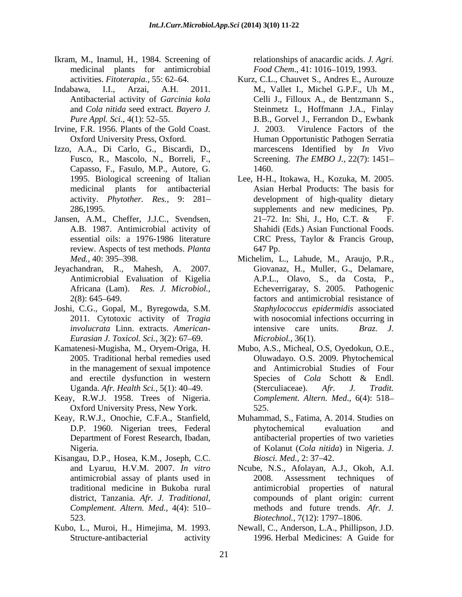- Ikram, M., Inamul, H., 1984. Screening of medicinal plants for antimicrobial<br>activities. *Fitoterapia*., 55: 62–64.
- Antibacterial activity of *Garcinia kola*
- 
- Capasso, F., Fasulo, M.P., Autore, G.
- Jansen, A.M., Cheffer, J.J.C., Svendsen, 21–72. In: Shi, J., Ho, C.T. & F. review. Aspects of test methods. *Planta*
- Jeyachandran, R., Mahesh, A. 2007.
- Joshi, C.G., Gopal, M., Byregowda, S.M. *Eurasian J. Toxicol. Sci., 3(2): 67–69.*
- Kamatenesi-Mugisha, M., Oryem-Origa, H. Mubo, A.S., Micheal, O.S, Oyedokun, O.E., in the management of sexual impotence
- Keay, R.W.J. 1958. Trees of Nigeria. Oxford University Press, New York.
- Keay, R.W.J., Onochie, C.F.A., Stanfield,
- Kisangau, D.P., Hosea, K.M., Joseph, C.C. Biosci. Med., 2: 37–42.
- 

relationships of anacardic acids. *J. Agri.* Food Chem., 41: 1016-1019, 1993.

- activities. *Fitoterapia.,* 55: 62 64. Kurz, C.L., Chauvet S., Andres E., Aurouze Indabawa, I.I., Arzai, A.H. 2011. M., Vallet I., Michel G.P.F., Uh M., and *Cola nitida* seed extract. *Bayero J.* Steinmetz I., Hoffmann J.A., Finlay *Pure Appl. Sci.*, 4(1): 52–55. B.B., Gorvel J., Ferrandon D., Ewbank Irvine, F.R. 1956. Plants of the Gold Coast. J. 2003. Virulence Factors of the Oxford University Press, Oxford. Human Opportunistic Pathogen Serratia Izzo, A.A., Di Carlo, G., Biscardi, D., marcescens Identified by *In Vivo* Fusco, R., Mascolo, N., Borreli, F., Screening. *The EMBO J.*, 22(7): 1451– Celli J., Filloux A., de Bentzmann S., J. 2003. Virulence Factors of the marcescens Identified by *In Vivo* Screening. *The EMBO J.,* 22(7): 1451 1460.
	- 1995. Biological screening of Italian Lee, H-H., Itokawa,H., Kozuka, M. 2005. medicinal plants for antibacterial Asian Herbal Products: The basis for activity. *Phytother. Res.,* 9: 281 development of high-quality dietary 286,1995. Supplements and new medicines, Pp. A.B. 1987. Antimicrobial activity of Shahidi (Eds.) Asian Functional Foods. essential oils: a 1976-1986 literature CRC Press, Taylor & Francis Group, supplements and new medicines, Pp. 21 72. In: Shi, J., Ho, C.T. & F. CRC Press, Taylor & Francis Group, 647 Pp.
	- *Med.*, 40: 395–398. **Michelim, L., Lahude, M., Araujo, P.R.**, Antimicrobial Evaluation of Kigelia A.P.L., Olavo, S., da Costa, P., Africana (Lam). *Res. J. Microbiol.*, Echeverrigaray, S. 2005. Pathogenic 2(8): 645–649. factors and antimicrobial resistance of 2011. Cytotoxic activity of *Tragia*  with nosocomial infections occurring in *involucrata* Linn. extracts. *American-* Giovanaz, H., Muller, G., Delamare, Echeverrigaray, S. 2005. Pathogenic factors and antimicrobial resistance of *Staphylococcus epidermidis* associated intensive care units. *Braz. J. Microbiol.,* 36(1).
	- 2005. Traditional herbal remedies used Oluwadayo. O.S. 2009. Phytochemical and erectile dysfunction in western Species of Cola Schott & Endl. Uganda. *Afr. Health Sci.*, 5(1): 40–49. (Sterculiaceae). *Afr. J. Tradit.* and Antimicrobial Studies of Four Species of *Cola* Schott & Endl. (Sterculiaceae). *Afr. J. Tradit. Complement. Altern. Med*., 6(4): 518 525.
	- D.P. 1960. Nigerian trees, Federal Department of Forest Research, Ibadan, antibacterial properties of two varieties Nigeria. of Kolanut (*Cola nitida*) in Nigeria. *J.* Muhammad, S., Fatima, A. 2014. Studies on phytochemical evaluation and *Biosci. Med., 2:* 37–42.
	- and Lyaruu, H.V.M. 2007. *In vitro* Ncube, N.S., Afolayan, A.J., Okoh, A.I. antimicrobial assay of plants used in traditional medicine in Bukoba rural antimicrobial properties of natural district, Tanzania. *Afr. J. Traditional,* compounds of plant origin: current *Complement. Altern. Med.,* 4(4): 510 methods and future trends. *Afr. J.* 523. *Biotechnol.,* 7(12): 1797 1806. 2008. Assessment techniques of
- Kubo, L., Muroi, H., Himejima, M. 1993. Newall, C., Anderson, L.A., Phillipson, J.D. Structure-antibacterial activity 1996. Herbal Medicines: A Guide for 1996. Herbal Medicines: A Guide for